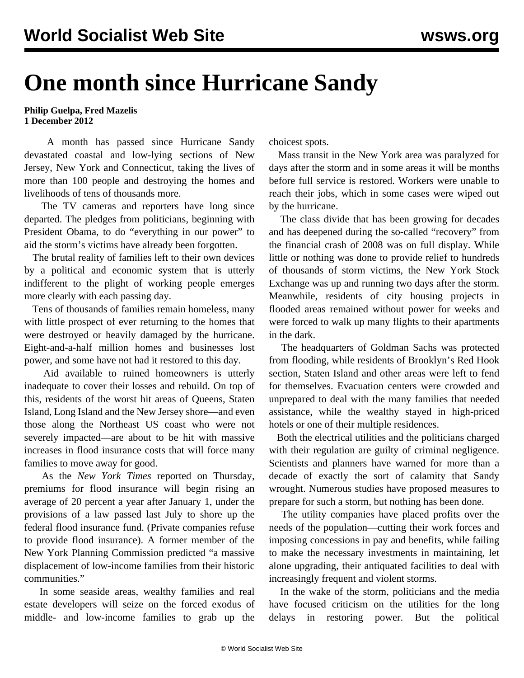## **One month since Hurricane Sandy**

**Philip Guelpa, Fred Mazelis 1 December 2012**

 A month has passed since Hurricane Sandy devastated coastal and low-lying sections of New Jersey, New York and Connecticut, taking the lives of more than 100 people and destroying the homes and livelihoods of tens of thousands more.

 The TV cameras and reporters have long since departed. The pledges from politicians, beginning with President Obama, to do "everything in our power" to aid the storm's victims have already been forgotten.

 The brutal reality of families left to their own devices by a political and economic system that is utterly indifferent to the plight of working people emerges more clearly with each passing day.

 Tens of thousands of families remain homeless, many with little prospect of ever returning to the homes that were destroyed or heavily damaged by the hurricane. Eight-and-a-half million homes and businesses lost power, and some have not had it restored to this day.

 Aid available to ruined homeowners is utterly inadequate to cover their losses and rebuild. On top of this, residents of the worst hit areas of Queens, Staten Island, Long Island and the New Jersey shore—and even those along the Northeast US coast who were not severely impacted—are about to be hit with massive increases in flood insurance costs that will force many families to move away for good.

 As the *New York Times* reported on Thursday, premiums for flood insurance will begin rising an average of 20 percent a year after January 1, under the provisions of a law passed last July to shore up the federal flood insurance fund. (Private companies refuse to provide flood insurance). A former member of the New York Planning Commission predicted "a massive displacement of low-income families from their historic communities."

 In some seaside areas, wealthy families and real estate developers will seize on the forced exodus of middle- and low-income families to grab up the choicest spots.

 Mass transit in the New York area was paralyzed for days after the storm and in some areas it will be months before full service is restored. Workers were unable to reach their jobs, which in some cases were wiped out by the hurricane.

 The class divide that has been growing for decades and has deepened during the so-called "recovery" from the financial crash of 2008 was on full display. While little or nothing was done to provide relief to hundreds of thousands of storm victims, the New York Stock Exchange was up and running two days after the storm. Meanwhile, residents of city housing projects in flooded areas remained without power for weeks and were forced to walk up many flights to their apartments in the dark.

 The headquarters of Goldman Sachs was protected from flooding, while residents of Brooklyn's Red Hook section, Staten Island and other areas were left to fend for themselves. Evacuation centers were crowded and unprepared to deal with the many families that needed assistance, while the wealthy stayed in high-priced hotels or one of their multiple residences.

 Both the electrical utilities and the politicians charged with their regulation are guilty of criminal negligence. Scientists and planners have warned for more than a decade of exactly the sort of calamity that Sandy wrought. Numerous studies have proposed measures to prepare for such a storm, but nothing has been done.

 The utility companies have placed profits over the needs of the population—cutting their work forces and imposing concessions in pay and benefits, while failing to make the necessary investments in maintaining, let alone upgrading, their antiquated facilities to deal with increasingly frequent and violent storms.

 In the wake of the storm, politicians and the media have focused criticism on the utilities for the long delays in restoring power. But the political